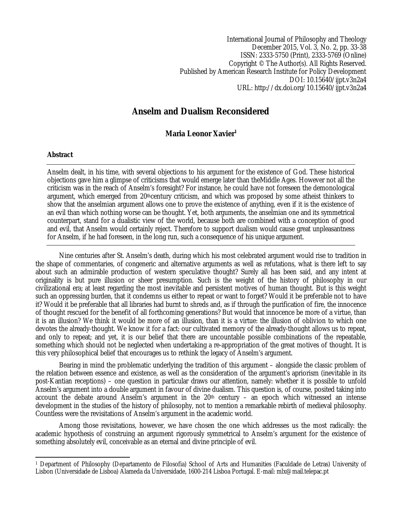International Journal of Philosophy and Theology December 2015, Vol. 3, No. 2, pp. 33-38 ISSN: 2333-5750 (Print), 2333-5769 (Online) Copyright © The Author(s). All Rights Reserved. Published by American Research Institute for Policy Development DOI: 10.15640/ijpt.v3n2a4 URL: http://dx.doi.org/10.15640/ijpt.v3n2a4

## **Anselm and Dualism Reconsidered**

## **Maria Leonor Xavier<sup>1</sup>**

## **Abstract**

Anselm dealt, in his time, with several objections to his argument for the existence of God. These historical objections gave him a glimpse of criticisms that would emerge later than theMiddle Ages. However not all the criticism was in the reach of Anselm's foresight? For instance, he could have not foreseen the demonological argument, which emerged from 20<sup>th</sup>century criticism, and which was proposed by some atheist thinkers to show that the anselmian argument allows one to prove the existence of anything, even if it is the existence of an evil than which nothing worse can be thought. Yet, both arguments, the anselmian one and its symmetrical counterpart, stand for a dualistic view of the world, because both are combined with a conception of good and evil, that Anselm would certainly reject. Therefore to support dualism would cause great unpleasantness for Anselm, if he had foreseen, in the long run, such a consequence of his unique argument.

Nine centuries after St. Anselm's death, during which his most celebrated argument would rise to tradition in the shape of commentaries, of congeneric and alternative arguments as well as refutations, what is there left to say about such an admirable production of western speculative thought? Surely all has been said, and any intent at originality is but pure illusion or sheer presumption. Such is the weight of the history of philosophy in our civilizational era; at least regarding the most inevitable and persistent motives of human thought. But is this weight such an oppressing burden, that it condemns us either to repeat or want to forget? Would it be preferable not to have it? Would it be preferable that all libraries had burnt to shreds and, as if through the purification of fire, the innocence of thought rescued for the benefit of all forthcoming generations? But would that innocence be more of a virtue, than it is an illusion? We think it would be more of an illusion, than it is a virtue: the illusion of oblivion to which one devotes the already-thought. We know it for a fact: our cultivated memory of the already-thought allows us to repeat, and only to repeat; and yet, it is our belief that there are uncountable possible combinations of the repeatable, something which should not be neglected when undertaking a re-appropriation of the great motives of thought. It is this very philosophical belief that encourages us to rethink the legacy of Anselm's argument.

Bearing in mind the problematic underlying the tradition of this argument – alongside the classic problem of the relation between essence and existence, as well as the consideration of the argument's apriorism (inevitable in its post-Kantian receptions) – one question in particular draws our attention, namely: whether it is possible to unfold Anselm's argument into a double argument in favour of divine dualism. This question is, of course, posited taking into account the debate around Anselm's argument in the 20<sup>th</sup> century – an epoch which witnessed an intense development in the studies of the history of philosophy, not to mention a remarkable rebirth of medieval philosophy. Countless were the revisitations of Anselm's argument in the academic world.

Among those revisitations, however, we have chosen the one which addresses us the most radically: the academic hypothesis of construing an argument rigorously symmetrical to Anselm's argument for the existence of something absolutely evil, conceivable as an eternal and divine principle of evil.

 $\overline{a}$ <sup>1</sup> Department of Philosophy (Departamento de Filosofia) School of Arts and Humanities (Faculdade de Letras) University of Lisbon (Universidade de Lisboa) Alameda da Universidade, 1600-214 Lisboa Portugal. E-mail: mlx@mail.telepac.pt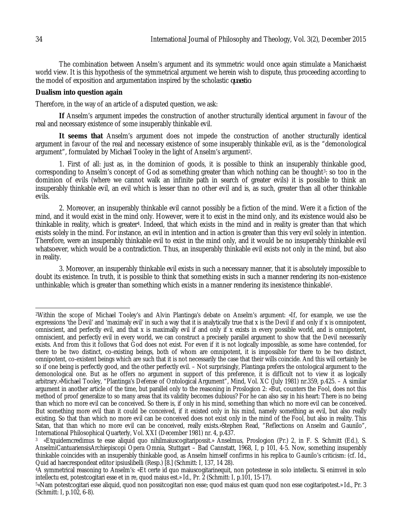The combination between Anselm's argument and its symmetric would once again stimulate a Manichaeist world view. It is this hypothesis of the symmetrical argument we herein wish to dispute, thus proceeding according to the model of exposition and argumentation inspired by the scholastic *quaestio*.

## **Dualism into question again**

Therefore, in the way of an article of a disputed question, we ask:

**If** Anselm's argument impedes the construction of another structurally identical argument in favour of the real and necessary existence of some insuperably thinkable evil.

**It seems that** Anselm's argument does not impede the construction of another structurally identical argument in favour of the real and necessary existence of some insuperably thinkable evil, as is the "demonological argument", formulated by Michael Tooley in the light of Anselm's argument2.

1. First of all: just as, in the dominion of goods, it is possible to think an insuperably thinkable good, corresponding to Anselm's concept of God as something greater than which nothing can be thought<sup>3</sup>: so too in the dominion of evils (where we cannot walk an infinite path in search of greater evils) it is possible to think an insuperably thinkable evil, an evil which is lesser than no other evil and is, as such, greater than all other thinkable evils.

2. Moreover, an insuperably thinkable evil cannot possibly be a fiction of the mind. Were it a fiction of the mind, and it would exist in the mind only. However, were it to exist in the mind only, and its existence would also be thinkable in reality, which is greater4. Indeed, that which exists in the mind and in reality is greater than that which exists solely in the mind. For instance, an evil in intention and in action is greater than this very evil solely in intention. Therefore, were an insuperably thinkable evil to exist in the mind only, and it would be no insuperably thinkable evil whatsoever, which would be a contradiction. Thus, an insuperably thinkable evil exists not only in the mind, but also in reality.

3. Moreover, an insuperably thinkable evil exists in such a necessary manner, that it is absolutely impossible to doubt its existence. In truth, it is possible to think that something exists in such a manner rendering its non-existence unthinkable; which is greater than something which exists in a manner rendering its inexistence thinkable5.

 $\overline{\phantom{a}}$ <sup>2</sup>Within the scope of Michael Tooley's and Alvin Plantinga's debate on Anselm's argument: «If, for example, we use the expressions 'the Devil' and 'maximaly evil' in such a way that it is analytically true that x is the Devil if and only if x is omnipotent, omniscient, and perfectly evil, and that x is maximally evil if and only if x exists in every possible world, and is omnipotent, omniscient, and perfectly evil in every world, we can construct a precisely parallel argument to show that the Devil necessarily exists. And from this it follows that God does not exist. For even if it is not logically impossible, as some have contended, for there to be two distinct, co-existing beings, both of whom are omnipotent, it is impossible for there to be two distinct, omnipotent, co-existent beings which are such that it is not necessarily the case that their wills coincide. And this will certainly be so if one being is perfectly good, and the other perfectly evil. – Not surprisingly, Plantinga prefers the ontological argument to the demonological one. But as he offers no argument in support of this preference, it is difficult not to view it as logically arbitrary.»Michael Tooley, "Plantinga's Defense of Ontological Argument", Mind, Vol. XC (July 1981) nr.359, p.425. – A similar argument in another article of the time, but parallel only to the reasoning in Proslogion 2: «But, counters the Fool, does not this method of proof generalize to so many areas that its validity becomes dubious? For he can also say in his heart: There is no being than which no more evil can be conceived. So there is, if only in his mind, something than which no more evil can be conceived. But something more evil than it could be conceived, if it existed only in his mind, namely something as evil, but also really existing. So that than which no more evil can be conceived does not exist only in the mind of the Fool, but also in reality. This Satan, that than which no more evil can be conceived, really exists.»Stephen Read, "Reflections on Anselm and Gaunilo", International Philosophical Quarterly, Vol. XXI (December 1981) nr. 4, p.437.

<sup>3</sup> «Etquidemcredimus te esse aliquid quo nihilmaiuscogitaripossit.» Anselmus, Proslogion (Pr.) 2, in F. S. Schmitt (Ed.), S. AnselmiCantuariensisArchiepiscopi Opera Omnia, Stuttgart – Bad Cannstatt, 1968, I, p 101, 4-5. Now, something insuperably thinkable coincides with an insuperably thinkable good, as Anselm himself confirms in his replica to Gaunilo's criticism: (cf. Id., Quid ad haecrespondeat editor ipsiuslibelli (Resp.) [8.] (Schmitt: I, 137, 14 28).

<sup>4</sup>A symmetrical reasoning to Anselm's: «Et certe id quo maiuscogitarinequit, non potestesse in solo intellectu. Si enimvel in solo intellectu est, potestcogitari esse et in re, quod maius est.» Id., Pr. 2 (Schmitt: I, p.101, 15-17).

<sup>5</sup>«Nam potestcogitari esse aliquid, quod non possitcogitari non esse; quod maius est quam quod non esse cogitaripotest.» Id., Pr. 3 (Schmitt: I, p.102, 6-8).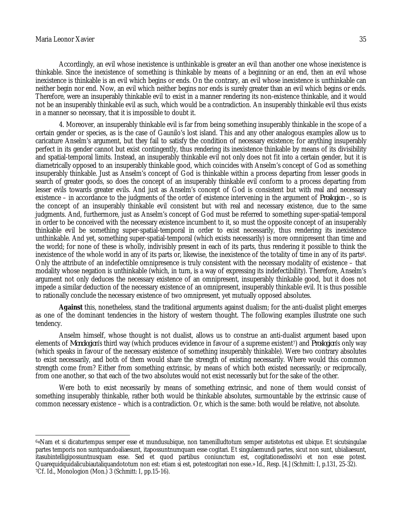Accordingly, an evil whose inexistence is unthinkable is greater an evil than another one whose inexistence is thinkable. Since the inexistence of something is thinkable by means of a beginning or an end, then an evil whose inexistence is thinkable is an evil which begins or ends. On the contrary, an evil whose inexistence is unthinkable can neither begin nor end. Now, an evil which neither begins nor ends is surely greater than an evil which begins or ends. Therefore, were an insuperably thinkable evil to exist in a manner rendering its non-existence thinkable, and it would not be an insuperably thinkable evil as such, which would be a contradiction. An insuperably thinkable evil thus exists in a manner so necessary, that it is impossible to doubt it.

4. Moreover, an insuperably thinkable evil is far from being something insuperably thinkable in the scope of a certain gender or species, as is the case of Gaunilo's lost island. This and any other analogous examples allow us to caricature Anselm's argument, but they fail to satisfy the condition of necessary existence; for anything insuperably perfect in its gender cannot but exist contingently, thus rendering its inexistence thinkable by means of its divisibility and spatial-temporal limits. Instead, an insuperably thinkable evil not only does not fit into a certain gender, but it is diametrically opposed to an insuperably thinkable good, which coincides with Anselm's concept of God as something insuperably thinkable. Just as Anselm's concept of God is thinkable within a process departing from lesser goods in search of greater goods, so does the concept of an insuperably thinkable evil conform to a process departing from lesser evils towards greater evils. And just as Anselm's concept of God is consistent but with real and necessary existence – in accordance to the judgments of the order of existence intervening in the argument of *Proslogion* –, so is the concept of an insuperably thinkable evil consistent but with real and necessary existence, due to the same judgments. And, furthermore, just as Anselm's concept of God must be referred to something super-spatial-temporal in order to be conceived with the necessary existence incumbent to it, so must the opposite concept of an insuperably thinkable evil be something super-spatial-temporal in order to exist necessarily, thus rendering its inexistence unthinkable. And yet, something super-spatial-temporal (which exists necessarily) is more omnipresent than time and the world; for none of these is wholly, indivisibly present in each of its parts, thus rendering it possible to think the inexistence of the whole world in any of its parts or, likewise, the inexistence of the totality of time in any of its parts6. Only the attribute of an indefectible omnipresence is truly consistent with the necessary modality of existence – that modality whose negation is unthinkable (which, in turn, is a way of expressing its indefectibility). Therefore, Anselm's argument not only deduces the necessary existence of an omnipresent, insuperably thinkable good, but it does not impede a similar deduction of the necessary existence of an omnipresent, insuperably thinkable evil. It is thus possible to rationally conclude the necessary existence of two omnipresent, yet mutually opposed absolutes.

**Against** this, nonetheless, stand the traditional arguments against dualism; for the anti-dualist plight emerges as one of the dominant tendencies in the history of western thought. The following examples illustrate one such tendency.

Anselm himself, whose thought is not dualist, allows us to construe an anti-dualist argument based upon elements of *Monologion*'s third way (which produces evidence in favour of a supreme existent7) and *Proslogion*'s only way (which speaks in favour of the necessary existence of something insuperably thinkable). Were two contrary absolutes to exist necessarily, and both of them would share the strength of existing necessarily. Where would this common strength come from? Either from something extrinsic, by means of which both existed necessarily; or reciprocally, from one another, so that each of the two absolutes would not exist necessarily but for the sake of the other.

Were both to exist necessarily by means of something extrinsic, and none of them would consist of something insuperably thinkable, rather both would be thinkable absolutes, surmountable by the extrinsic cause of common necessary existence – which is a contradiction. Or, which is the same: both would be relative, not absolute.

 $\overline{a}$ <sup>6</sup>«Nam et si dicaturtempus semper esse et mundusubique, non tamenilludtotum semper autistetotus est ubique. Et sicutsingulae partes temporis non suntquandoaliaesunt, itapossuntnumquam esse cogitari. Et singulaemundi partes, sicut non sunt, ubialiaesunt, itasubintelligipossuntnusquam esse. Sed et quod partibus coniunctum est, cogitationedissolvi et non esse potest. Quarequidquidalicubiautaliquandototum non est: etiam si est, potestcogitari non esse.» Id., Resp. [4.] (Schmitt: I, p.131, 25-32). 7Cf. Id., Monologion (Mon.) 3 (Schmitt: I, pp.15-16).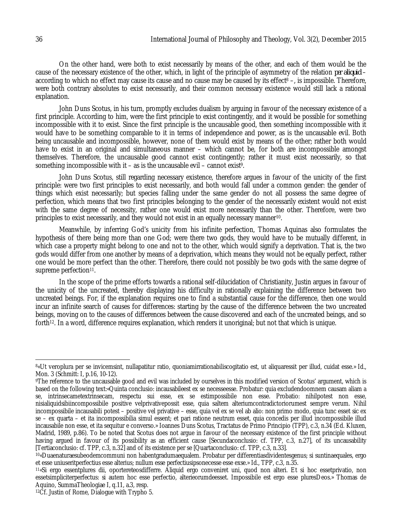On the other hand, were both to exist necessarily by means of the other, and each of them would be the cause of the necessary existence of the other, which, in light of the principle of asymmetry of the relation *per aliquid* – according to which no effect may cause its cause and no cause may be caused by its effect<sup>8</sup> –, is impossible. Therefore, were both contrary absolutes to exist necessarily, and their common necessary existence would still lack a rational explanation.

John Duns Scotus, in his turn, promptly excludes dualism by arguing in favour of the necessary existence of a first principle. According to him, were the first principle to exist contingently, and it would be possible for something incompossible with it to exist. Since the first principle is the uncausable good, then something incompossible with it would have to be something comparable to it in terms of independence and power, as is the uncausable evil. Both being uncausable and incompossible, however, none of them would exist by means of the other; rather both would have to exist in an original and simultaneous manner – which cannot be, for both are incompossible amongst themselves. Therefore, the uncausable good cannot exist contingently; rather it must exist necessarily, so that something incompossible with it – as is the uncausable evil – cannot exist<sup>9</sup>.

John Duns Scotus, still regarding necessary existence, therefore argues in favour of the unicity of the first principle: were two first principles to exist necessarily, and both would fall under a common gender: the gender of things which exist necessarily; but species falling under the same gender do not all possess the same degree of perfection, which means that two first principles belonging to the gender of the necessarily existent would not exist with the same degree of necessity, rather one would exist more necessarily than the other. Therefore, were two principles to exist necessarily, and they would not exist in an equally necessary manner10.

Meanwhile, by inferring God's unicity from his infinite perfection, Thomas Aquinas also formulates the hypothesis of there being more than one God; were there two gods, they would have to be mutually different, in which case a property might belong to one and not to the other, which would signify a deprivation. That is, the two gods would differ from one another by means of a deprivation, which means they would not be equally perfect, rather one would be more perfect than the other. Therefore, there could not possibly be two gods with the same degree of supreme perfection<sup>11</sup>.

In the scope of the prime efforts towards a rational self-dilucidation of Christianity, Justin argues in favour of the unicity of the uncreated, thereby displaying his difficulty in rationally explaining the difference between two uncreated beings. For, if the explanation requires one to find a substantial cause for the difference, then one would incur an infinite search of causes for differences: starting by the cause of the difference between the two uncreated beings, moving on to the causes of differences between the cause discovered and each of the uncreated beings, and so forth<sup>12</sup>. In a word, difference requires explanation, which renders it unoriginal; but not that which is unique.

 $\overline{\phantom{a}}$ 

<sup>8</sup>«Ut veroplura per se invicemsint, nullapatitur ratio, quoniamirrationabiliscogitatio est, ut aliquaressit per illud, cuidat esse.» Id., Mon. 3 (Schmitt: I, p.16, 10-12).

<sup>9</sup>The reference to the uncausable good and evil was included by ourselves in this modified version of Scotus' argument, which is based on the following text:«Quinta conclusio: incausabileest ex se necesseesse. Probatur: quia excludendoomnem causam aliam a se, intrinsecametextrinsecam, respectu sui esse, ex se estimpossibile non esse. Probatio: nihilpotest non esse, nisialiquidsibiincompossibile positive velprivativepossit esse, quia saltem alteriumcontradictoriorumest sempre verum. Nihil incompossibile incausabili potest – positive vel privative – esse, quia vel ex se vel ab alio: non primo modo, quia tunc esset sic ex se – ex quarta – et ita incompossibilia simul essent; et pari ratione neutrum esset, quia concedis per illud incompossibile illud incausabile non esse, et ita sequitur e converso.» Ioannes Duns Scotus, Tractatus de Primo Principio (TPP), c.3, n.34 (Ed. Kluxen, Madrid, 1989, p.86). To be noted that Scotus does not argue in favour of the necessary existence of the first principle without having argued in favour of its possibility as an efficient cause [Secundaconclusio: cf. TPP, c.3, n.27], of its uncausability [Tertiaconclusio: cf. TPP, c.3, n.32] and of its existence per se [Quartaconclusio: cf. TPP, c.3, n.33].

<sup>10</sup>«Duaenaturaesubeodemcommuni non habentgradumaequalem. Probatur per differentiasdividentesgenus; si suntinaequales, ergo et esse uniuseritperfectius esse alterius; nullum esse perfectiusipsonecesse esse exse.» Id., TPP, c.3, n.35.

<sup>11</sup>«Si ergo essentplures dii, oportereteosdifferre. Aliquid ergo conveniret uni, quod non alteri. Et si hoc essetprivatio, non essetsimpliciterperfectus: si autem hoc esse perfectio, alterieorumdeesset. Impossibile est ergo esse pluresDeos.» Thomas de Aquino, SummaTheologiae I, q.11, a.3, resp.

<sup>12</sup>Cf. Justin of Rome, Dialogue with Trypho 5.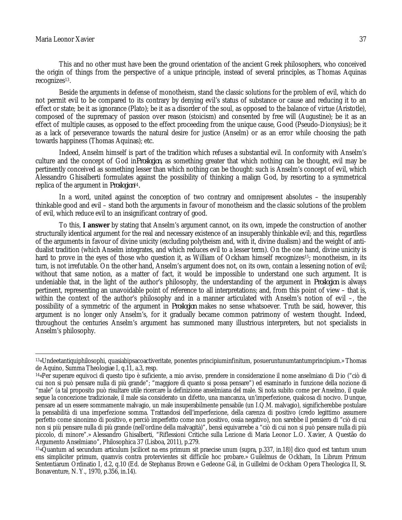$\overline{a}$ 

This and no other must have been the ground orientation of the ancient Greek philosophers, who conceived the origin of things from the perspective of a unique principle, instead of several principles, as Thomas Aquinas recognizes<sup>13</sup>.

Beside the arguments in defense of monotheism, stand the classic solutions for the problem of evil, which do not permit evil to be compared to its contrary by denying evil's status of substance or cause and reducing it to an effect or state; be it as ignorance (Plato); be it as a disorder of the soul, as opposed to the balance of virtue (Aristotle), composed of the supremacy of passion over reason (stoicism) and consented by free will (Augustine); be it as an effect of multiple causes, as opposed to the effect proceeding from the unique cause, Good (Pseudo-Dionysius); be it as a lack of perseverance towards the natural desire for justice (Anselm) or as an error while choosing the path towards happiness (Thomas Aquinas); etc.

Indeed, Anselm himself is part of the tradition which refuses a substantial evil. In conformity with Anselm's culture and the concept of God in*Proslogion*, as something greater that which nothing can be thought, evil may be pertinently conceived as something lesser than which nothing can be thought: such is Anselm's concept of evil, which Alessandro Ghisalberti formulates against the possibility of thinking a malign God, by resorting to a symmetrical replica of the argument in *Proslogion*14*.*

In a word, united against the conception of two contrary and omnipresent absolutes – the insuperably thinkable good and evil – stand both the arguments in favour of monotheism and the classic solutions of the problem of evil, which reduce evil to an insignificant contrary of good.

To this, **I answer** by stating that Anselm's argument cannot, on its own, impede the construction of another structurally identical argument for the real and necessary existence of an insuperably thinkable evil; and this, regardless of the arguments in favour of divine unicity (excluding polytheism and, with it, divine dualism) and the weight of antidualist tradition (which Anselm integrates, and which reduces evil to a lesser term). On the one hand, divine unicity is hard to prove in the eyes of those who question it, as William of Ockham himself recognizes<sup>15</sup>; monotheism, in its turn, is not irrefutable. On the other hand, Anselm's argument does not, on its own, contain a lessening notion of evil; without that same notion, as a matter of fact, it would be impossible to understand one such argument. It is undeniable that, in the light of the author's philosophy, the understanding of the argument in *Proslogion* is always pertinent, representing an unavoidable point of reference to all interpretations; and, from this point of view – that is, within the context of the author's philosophy and in a manner articulated with Anselm's notion of evil –, the possibility of a symmetric of the argument in *Proslogion* makes no sense whatsoever. Truth be said, however, this argument is no longer only Anselm's, for it gradually became common patrimony of western thought. Indeed, throughout the centuries Anselm's argument has summoned many illustrious interpreters, but not specialists in Anselm's philosophy.

<sup>13</sup>«Undeetantiquiphilosophi, quasiabipsacoactiveritate, ponentes principiuminfinitum, posueruntunumtantumprincipium.» Thomas de Aquino, Summa Theologiae I, q.11, a.3, resp.

<sup>14</sup>«Per superare equivoci di questo tipo è suficiente, a mio avviso, prendere in considerazione il nome anselmiano di Dio ("ciò di cui non si può pensare nulla di più grande"; "maggiore di quanto si possa pensare") ed esaminarlo in funzione della nozione di "male" (a tal proposito può risultare utile ricercare la definizione anselmiana del male. Si nota subito come per Anselmo, il quale segue la concezione tradizionale, il male sia considerato un difetto, una mancanza, un'imperfezione, qualcosa di nocivo. Dunque, pensare ad un essere sommamente malvagio, un male insuperabilmente pensabile (un I.Q.M. malvagio), significherebbe postulare la pensabilità di una imperfezione somma. Trattandosi dell'imperfezione, della carenza di positivo (credo legittimo assumere perfetto come sinonimo di positivo, e perciò imperfetto come non positivo, ossia negativo), non sarebbe il pensiero di "ciò di cui non si più pensare nulla di più grande (nell'ordine della malvagità)", bensì equivarrebe a "ciò di cui non si può pensare nulla di più piccolo, di minore".» Alessandro Ghisalberti, "Riflessioni Critiche sulla Lezione di Maria Leonor L.O. Xavier, A Questão do Argumento Anselmiano", Philosophica 37 (Lisboa, 2011), p.279.

<sup>15</sup>«Quantum ad secundum articulum [scilicet na ens primum sit praecise unum (supra, p.337, in.18)] dico quod est tantum unum ens simpliciter primum, quamvis contra protervientes sit difficile hoc probare.» Guilelmus de Ockham, In Librum Primum Sententiarum Ordinatio I, d.2, q.10 (Ed. de Stephanus Brown e Gedeone Gál, in Guillelmi de Ockham Opera Theologica II, St. Bonaventure, N. Y., 1970, p.356, in.14).